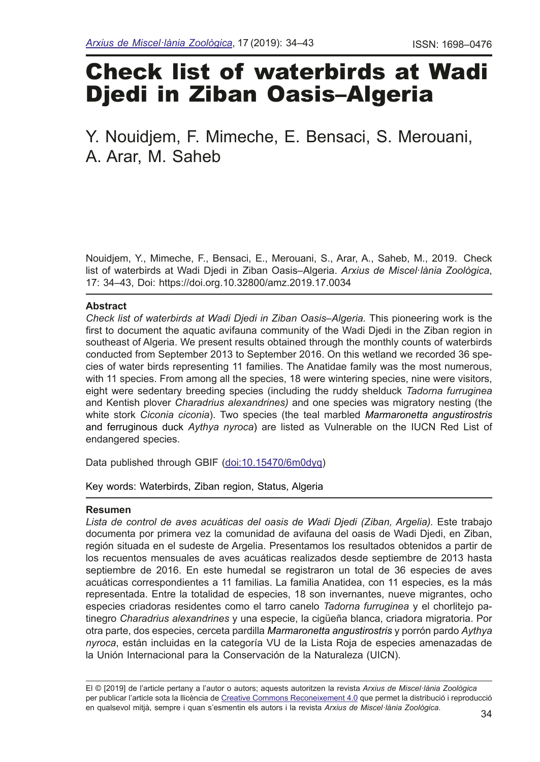# Check list of waterbirds at Wadi Djedi in Ziban Oasis–Algeria

# Y. Nouidjem, F. Mimeche, E. Bensaci, S. Merouani, A. Arar, M. Saheb

Nouidjem, Y., Mimeche, F., Bensaci, E., Merouani, S., Arar, A., Saheb, M., 2019. Check list of waterbirds at Wadi Djedi in Ziban Oasis–Algeria. *Arxius de Miscel*·*lània Zoològica*, 17: 34–43, Doi: https://doi.org.10.32800/amz.2019.17.0034

#### **Abstract**

*Check list of waterbirds at Wadi Djedi in Ziban Oasis–Algeria.* This pioneering work is the frst to document the aquatic avifauna community of the Wadi Djedi in the Ziban region in southeast of Algeria. We present results obtained through the monthly counts of waterbirds conducted from September 2013 to September 2016. On this wetland we recorded 36 species of water birds representing 11 families. The Anatidae family was the most numerous, with 11 species. From among all the species, 18 were wintering species, nine were visitors, eight were sedentary breeding species (including the ruddy shelduck *Tadorna furruginea*  and Kentish plover *Charadrius alexandrines)* and one species was migratory nesting (the white stork *Ciconia ciconia*). Two species (the teal marbled *Marmaronetta angustirostris* and ferruginous duck *Aythya nyroca*) are listed as Vulnerable on the IUCN Red List of endangered species.

Data published through GBIF [\(doi:10.15470/6m0dyq\)](https://www.gbif.org/dataset/a7f7e3f4-4557-4ffe-8bde-25e719d4b85c)

Key words: Waterbirds, Ziban region, Status, Algeria

## **Resumen**

Lista de control de aves acuáticas del oasis de Wadi Djedi (Ziban, Argelia). Este trabajo documenta por primera vez la comunidad de avifauna del oasis de Wadi Djedi, en Ziban, región situada en el sudeste de Argelia. Presentamos los resultados obtenidos a partir de los recuentos mensuales de aves acuáticas realizados desde septiembre de 2013 hasta septiembre de 2016. En este humedal se registraron un total de 36 especies de aves acuáticas correspondientes a 11 familias. La familia Anatidea, con 11 especies, es la más representada. Entre la totalidad de especies, 18 son invernantes, nueve migrantes, ocho especies criadoras residentes como el tarro canelo *Tadorna furruginea* y el chorlitejo patinegro *Charadrius alexandrines* y una especie, la cigüeña blanca, criadora migratoria. Por otra parte, dos especies, cerceta pardilla *Marmaronetta angustirostris* y porrón pardo *Aythya nyroca*, están incluidas en la categoría VU de la Lista Roja de especies amenazadas de la Unión Internacional para la Conservación de la Naturaleza (UICN).

El © [2019] de l'article pertany a l'autor o autors; aquests autoritzen la revista *Arxius de Miscel·lània Zoològica* per publicar l'article sota la llicència de [Creative Commons Reconeixement 4.0](http://creativecommons.org/licenses/by/3.0/deed.ca) que permet la distribució i reproducció en qualsevol mitjà, sempre i quan s'esmentin els autors i la revista *Arxius de Miscel·lània Zoològica*.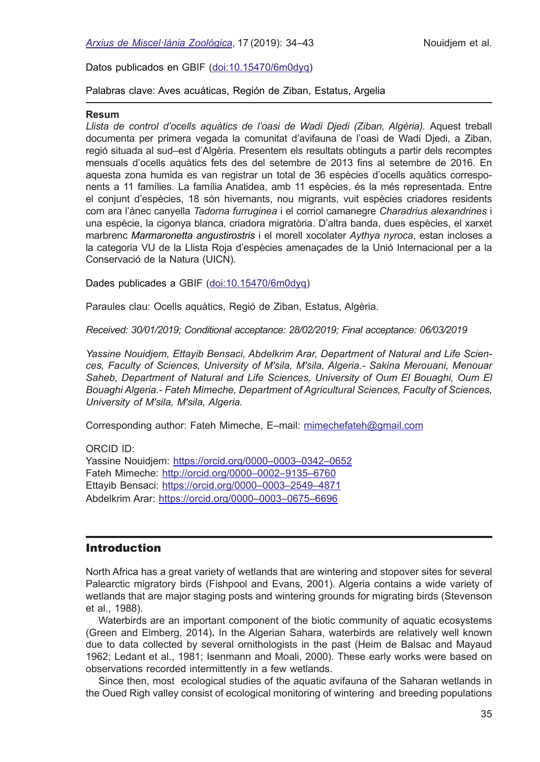Datos publicados en GBIF ([doi:10.15470/6m0dyq](https://www.gbif.org/dataset/a7f7e3f4-4557-4ffe-8bde-25e719d4b85c))

Palabras clave: Aves acuáticas, Región de Ziban, Estatus, Argelia

#### **Resum**

Llista de control d'ocells aquàtics de l'oasi de Wadi Diedi (Ziban, Algèria). Aquest treball documenta per primera vegada la comunitat d'avifauna de l'oasi de Wadi Djedi, a Ziban, regió situada al sud–est d'Algèria. Presentem els resultats obtinguts a partir dels recomptes mensuals d'ocells aquàtics fets des del setembre de 2013 fns al setembre de 2016. En aquesta zona humida es van registrar un total de 36 espècies d'ocells aquàtics corresponents a 11 famílies. La família Anatidea, amb 11 espècies, és la més representada. Entre el conjunt d'espècies, 18 són hivernants, nou migrants, vuit espècies criadores residents com ara l'ànec canyella *Tadorna furruginea* i el corriol camanegre *Charadrius alexandrines* i una espècie, la cigonya blanca, criadora migratòria. D'altra banda, dues espècies, el xarxet marbrenc *Marmaronetta angustirostris* i el morell xocolater *Aythya nyroca*, estan incloses a la categoria VU de la Llista Roja d'espècies amenaçades de la Unió Internacional per a la Conservació de la Natura (UICN).

Dades publicades a GBIF [\(doi:10.15470/6m0dyq\)](https://www.gbif.org/dataset/a7f7e3f4-4557-4ffe-8bde-25e719d4b85c)

Paraules clau: Ocells aquàtics, Regió de Ziban, Estatus, Algèria.

*Received: 30/01/2019; Conditional acceptance: 28/02/2019; Final acceptance: 06/03/2019*

*Yassine Nouidjem, Ettayib Bensaci, Abdelkrim Arar, Department of Natural and Life Sciences, Faculty of Sciences, University of M'sila, M'sila, Algeria.- Sakina Merouani, Menouar*  Saheb, Department of Natural and Life Sciences, University of Oum El Bouaghi, Oum El *Bouaghi Algeria.- Fateh Mimeche, Department of Agricultural Sciences, Faculty of Sciences, University of M'sila, M'sila, Algeria.*

Corresponding author: Fateh Mimeche, E–mail: mimechefateh[@gmail.com](mailto:mimechefateh%40gmail.com?subject=)

ORCID ID:

Yassine Nouidjem: https://orcid.org/0000–0003–0342–0652 Fateh Mimeche: [http://orcid.org/0000–0002–9135–6760](http://orcid.org/0000-0002-9135-6760?lang=fr) Ettayib Bensaci: https://orcid.org[/0000–0003–2549–4871](https://orcid.org/0000-0003-2549-4871) Abdelkrim Arar: https://orcid.org/0000–0003–0675–6696

# **Introduction**

North Africa has a great variety of wetlands that are wintering and stopover sites for several Palearctic migratory birds (Fishpool and Evans, 2001). Algeria contains a wide variety of wetlands that are major staging posts and wintering grounds for migrating birds (Stevenson et al., 1988).

Waterbirds are an important component of the biotic community of aquatic ecosystems (Green and Elmberg, 2014)**.** In the Algerian Sahara, waterbirds are relatively well known due to data collected by several ornithologists in the past (Heim de Balsac and Mayaud 1962; Ledant et al., 1981; Isenmann and Moali, 2000). These early works were based on observations recorded intermittently in a few wetlands.

Since then, most ecological studies of the aquatic avifauna of the Saharan wetlands in the Oued Righ valley consist of ecological monitoring of wintering and breeding populations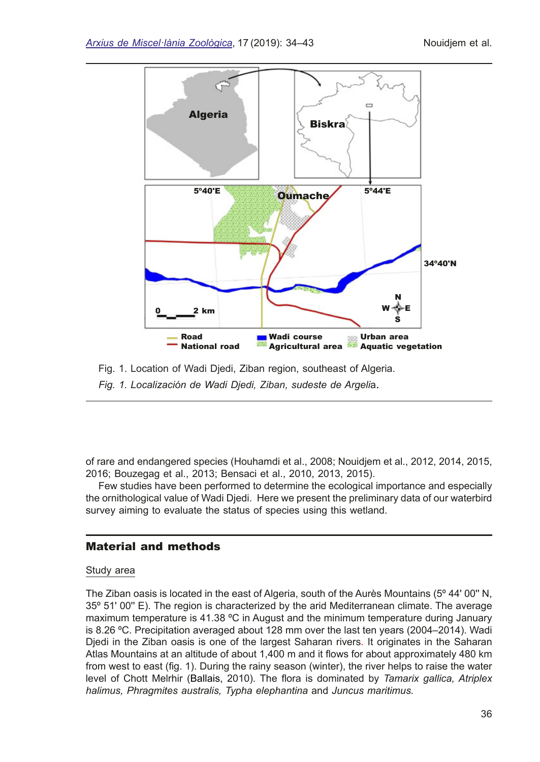

Fig. 1. Location of Wadi Djedi, Ziban region, southeast of Algeria. *Fig. 1. Localización de Wadi Djedi, Ziban, sudeste de Argeli*a.

of rare and endangered species (Houhamdi et al., 2008; Nouidjem et al., 2012, 2014, 2015, 2016; Bouzegag et al., 2013; Bensaci et al., 2010, 2013, 2015).

Few studies have been performed to determine the ecological importance and especially the ornithological value of Wadi Djedi. Here we present the preliminary data of our waterbird survey aiming to evaluate the status of species using this wetland.

## Material and methods

#### Study area

The Ziban oasis is located in the east of Algeria, south of the Aurès Mountains (5º 44' 00'' N, 35º 51' 00'' E). The region is characterized by the arid Mediterranean climate. The average maximum temperature is 41.38 ºC in August and the minimum temperature during January is 8.26 ºC. Precipitation averaged about 128 mm over the last ten years (2004–2014). Wadi Djedi in the Ziban oasis is one of the largest Saharan rivers. It originates in the Saharan Atlas Mountains at an altitude of about 1,400 m and it flows for about approximately 480 km from west to east (fg. 1). During the rainy season (winter), the river helps to raise the water level of Chott Melrhir (Ballais, 2010). The fora is dominated by *Tamarix gallica, Atriplex halimus, Phragmites australis, Typha elephantina* and *Juncus maritimus.*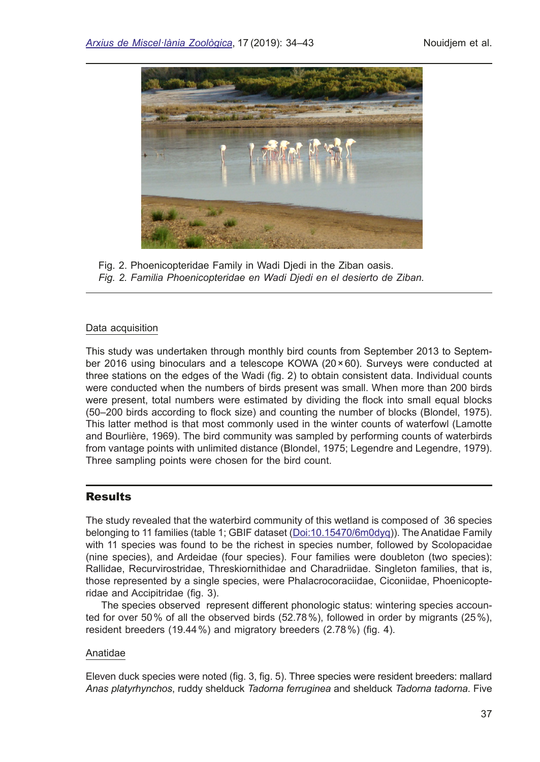

Fig. 2. Phoenicopteridae Family in Wadi Djedi in the Ziban oasis. *Fig. 2. Familia Phoenicopteridae en Wadi Djedi en el desierto de Ziban.*

#### Data acquisition

This study was undertaken through monthly bird counts from September 2013 to September 2016 using binoculars and a telescope KOWA (20×60). Surveys were conducted at three stations on the edges of the Wadi (fg. 2) to obtain consistent data. Individual counts were conducted when the numbers of birds present was small. When more than 200 birds were present, total numbers were estimated by dividing the flock into small equal blocks (50–200 birds according to flock size) and counting the number of blocks (Blondel, 1975). This latter method is that most commonly used in the winter counts of waterfowl (Lamotte and Bourlière, 1969). The bird community was sampled by performing counts of waterbirds from vantage points with unlimited distance (Blondel, 1975; Legendre and Legendre, 1979). Three sampling points were chosen for the bird count.

# **Results**

The study revealed that the waterbird community of this wetland is composed of 36 species belonging to 11 families (table 1; GBIF dataset [\(Doi:10.15470/6m0dyq\)](https://www.gbif.org/dataset/a7f7e3f4-4557-4ffe-8bde-25e719d4b85c)). The Anatidae Family with 11 species was found to be the richest in species number, followed by Scolopacidae (nine species), and Ardeidae (four species). Four families were doubleton (two species): Rallidae, Recurvirostridae, Threskiornithidae and Charadriidae. Singleton families, that is, those represented by a single species, were Phalacrocoraciidae, Ciconiidae, Phoenicopteridae and Accipitridae (fig. 3).

 The species observed represent different phonologic status: wintering species accounted for over 50% of all the observed birds (52.78%), followed in order by migrants (25%), resident breeders (19.44%) and migratory breeders (2.78%) (fig. 4).

#### Anatidae

Eleven duck species were noted (fg. 3, fg. 5). Three species were resident breeders: mallard *Anas platyrhynchos*, ruddy shelduck *Tadorna ferruginea* and shelduck *Tadorna tadorna*. Five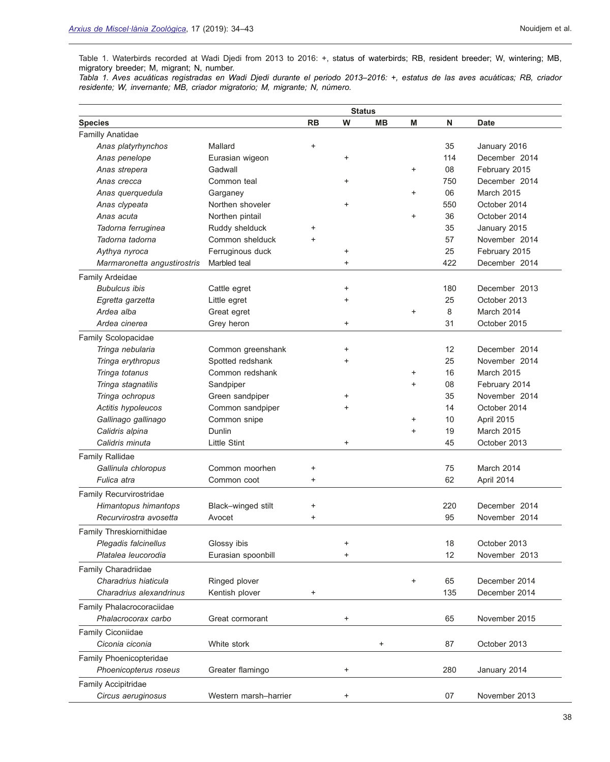Table 1. Waterbirds recorded at Wadi Djedi from 2013 to 2016: +, status of waterbirds; RB, resident breeder; W, wintering; MB, migratory breeder; M, migrant; N, number.

*Tabla 1. Aves acuáticas registradas en Wadi Djedi durante el periodo 2013–2016: +, estatus de las aves acuáticas; RB, criador residente; W, invernante; MB, criador migratorio; M, migrante; N, número.*

|                             |                       | <b>Status</b> |           |           |           |     |                   |
|-----------------------------|-----------------------|---------------|-----------|-----------|-----------|-----|-------------------|
| <b>Species</b>              |                       | <b>RB</b>     | W         | <b>MB</b> | M         | N   | <b>Date</b>       |
| <b>Familly Anatidae</b>     |                       |               |           |           |           |     |                   |
| Anas platyrhynchos          | Mallard               | +             |           |           |           | 35  | January 2016      |
| Anas penelope               | Eurasian wigeon       |               | $\ddot{}$ |           |           | 114 | December 2014     |
| Anas strepera               | Gadwall               |               |           |           | +         | 08  | February 2015     |
| Anas crecca                 | Common teal           |               | $\ddot{}$ |           |           | 750 | December 2014     |
| Anas querquedula            | Garganey              |               |           |           | +         | 06  | March 2015        |
| Anas clypeata               | Northen shoveler      |               | $\ddot{}$ |           |           | 550 | October 2014      |
| Anas acuta                  | Northen pintail       |               |           |           | +         | 36  | October 2014      |
| Tadorna ferruginea          | Ruddy shelduck        | +             |           |           |           | 35  | January 2015      |
| Tadorna tadorna             | Common shelduck       | +             |           |           |           | 57  | November 2014     |
| Aythya nyroca               | Ferruginous duck      |               | $\ddot{}$ |           |           | 25  | February 2015     |
| Marmaronetta angustirostris | Marbled teal          |               | $\ddot{}$ |           |           | 422 | December 2014     |
| Family Ardeidae             |                       |               |           |           |           |     |                   |
| <b>Bubulcus ibis</b>        | Cattle egret          |               | $\ddot{}$ |           |           | 180 | December 2013     |
| Egretta garzetta            | Little egret          |               | +         |           |           | 25  | October 2013      |
| Ardea alba                  | Great egret           |               |           |           | +         | 8   | March 2014        |
| Ardea cinerea               | Grey heron            |               | $\ddot{}$ |           |           | 31  | October 2015      |
| Family Scolopacidae         |                       |               |           |           |           |     |                   |
| Tringa nebularia            | Common greenshank     |               | +         |           |           | 12  | December 2014     |
| Tringa erythropus           | Spotted redshank      |               | +         |           |           | 25  | November 2014     |
| Tringa totanus              | Common redshank       |               |           |           | +         | 16  | <b>March 2015</b> |
| Tringa stagnatilis          | Sandpiper             |               |           |           | $\ddot{}$ | 08  | February 2014     |
| Tringa ochropus             | Green sandpiper       |               | +         |           |           | 35  | November 2014     |
| Actitis hypoleucos          | Common sandpiper      |               | +         |           |           | 14  | October 2014      |
| Gallinago gallinago         | Common snipe          |               |           |           | +         | 10  | April 2015        |
| Calidris alpina             | Dunlin                |               |           |           | +         | 19  | March 2015        |
| Calidris minuta             | <b>Little Stint</b>   |               | $\ddot{}$ |           |           | 45  | October 2013      |
| <b>Family Rallidae</b>      |                       |               |           |           |           |     |                   |
| Gallinula chloropus         | Common moorhen        | +             |           |           |           | 75  | March 2014        |
| Fulica atra                 | Common coot           | +             |           |           |           | 62  | April 2014        |
| Family Recurvirostridae     |                       |               |           |           |           |     |                   |
| Himantopus himantops        | Black-winged stilt    |               |           |           |           | 220 | December 2014     |
| Recurvirostra avosetta      | Avocet                | +             |           |           |           | 95  | November 2014     |
| Family Threskiornithidae    |                       |               |           |           |           |     |                   |
| Plegadis falcinellus        | Glossy ibis           |               | +         |           |           | 18  | October 2013      |
| Platalea leucorodia         | Eurasian spoonbill    |               | +         |           |           | 12  | November 2013     |
| Family Charadriidae         |                       |               |           |           |           |     |                   |
| Charadrius hiaticula        | Ringed plover         |               |           |           | +         | 65  | December 2014     |
| Charadrius alexandrinus     | Kentish plover        | +             |           |           |           | 135 | December 2014     |
| Family Phalacrocoraciidae   |                       |               |           |           |           |     |                   |
| Phalacrocorax carbo         | Great cormorant       |               | +         |           |           | 65  | November 2015     |
| Family Ciconiidae           |                       |               |           |           |           |     |                   |
| Ciconia ciconia             | White stork           |               |           | $\pmb{+}$ |           | 87  | October 2013      |
|                             |                       |               |           |           |           |     |                   |
| Family Phoenicopteridae     |                       |               |           |           |           |     |                   |
| Phoenicopterus roseus       | Greater flamingo      |               | $\ddot{}$ |           |           | 280 | January 2014      |
| Family Accipitridae         |                       |               |           |           |           |     |                   |
| Circus aeruginosus          | Western marsh-harrier |               | $\ddot{}$ |           |           | 07  | November 2013     |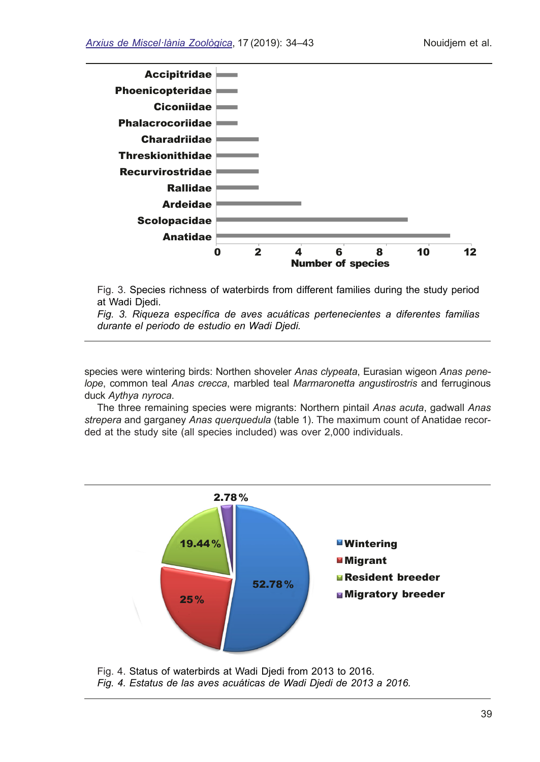

Fig. 3. Species richness of waterbirds from different families during the study period at Wadi Djedi.

*Fig. 3. Riqueza específca de aves acuáticas pertenecientes a diferentes familias durante el periodo de estudio en Wadi Djedi.*

species were wintering birds: Northen shoveler *Anas clypeata*, Eurasian wigeon *Anas penelope*, common teal *Anas crecca*, marbled teal *Marmaronetta angustirostris* and ferruginous duck *Aythya nyroca*.

The three remaining species were migrants: Northern pintail *Anas acuta*, gadwall *Anas strepera* and garganey *Anas querquedula* (table 1). The maximum count of Anatidae recorded at the study site (all species included) was over 2,000 individuals.



Fig. 4. Status of waterbirds at Wadi Djedi from 2013 to 2016. *Fig. 4. Estatus de las aves acuáticas de Wadi Djedi de 2013 a 2016.*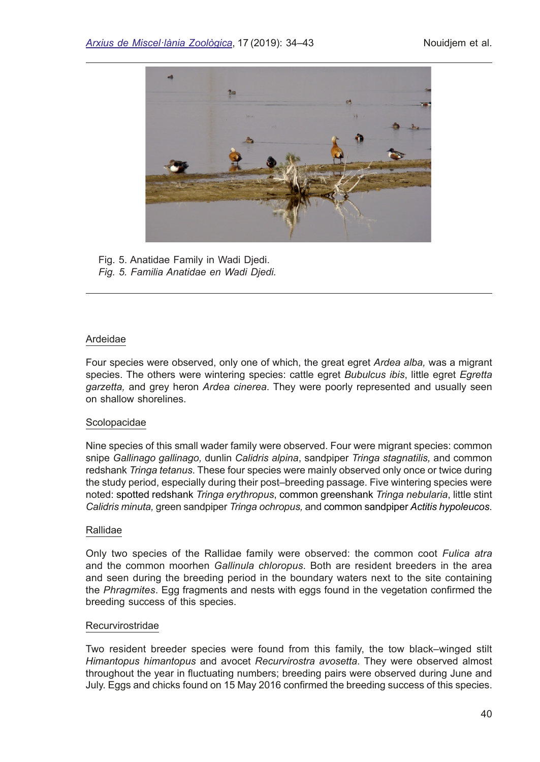

Fig. 5. Anatidae Family in Wadi Djedi. *Fig. 5. Familia Anatidae en Wadi Djedi.*

#### Ardeidae

Four species were observed, only one of which, the great egret *Ardea alba,* was a migrant species. The others were wintering species: cattle egret *Bubulcus ibis*, little egret *Egretta garzetta,* and grey heron *Ardea cinerea*. They were poorly represented and usually seen on shallow shorelines.

#### **Scolopacidae**

Nine species of this small wader family were observed. Four were migrant species: common snipe *Gallinago gallinago,* dunlin *Calidris alpina*, sandpiper *Tringa stagnatilis,* and common redshank *Tringa tetanus*. These four species were mainly observed only once or twice during the study period, especially during their post–breeding passage. Five wintering species were noted: spotted redshank *Tringa erythropus*, common greenshank *Tringa nebularia*, little stint *Calidris minuta,* green sandpiper *Tringa ochropus,* and common sandpiper *Actitis hypoleucos*.

#### Rallidae

Only two species of the Rallidae family were observed: the common coot *Fulica atra* and the common moorhen *Gallinula chloropus*. Both are resident breeders in the area and seen during the breeding period in the boundary waters next to the site containing the *Phragmites*. Egg fragments and nests with eggs found in the vegetation confrmed the breeding success of this species.

#### Recurvirostridae

Two resident breeder species were found from this family, the tow black–winged stilt *Himantopus himantopus* and avocet *Recurvirostra avosetta*. They were observed almost throughout the year in fuctuating numbers; breeding pairs were observed during June and July. Eggs and chicks found on 15 May 2016 confrmed the breeding success of this species.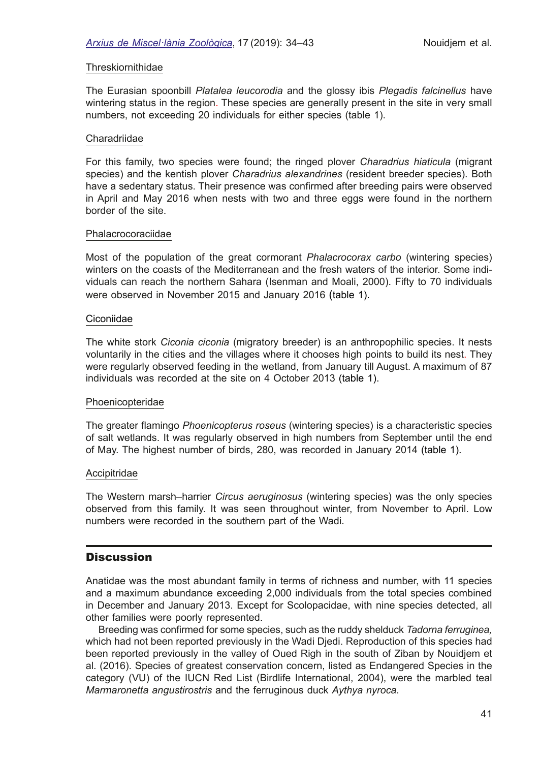#### Threskiornithidae

The [Eurasian spoonbill](http://www.iucnredlist.org/details/22697555/0) *Platalea leucorodia* and the [glossy ibis](http://www.iucnredlist.org/details/22697422/1) *Plegadis falcinellus* have wintering status in the region. These species are generally present in the site in very small numbers, not exceeding 20 individuals for either species (table 1).

#### Charadriidae

For this family, two species were found; the ringed plover *Charadrius hiaticula* (migrant species) and the kentish plover *Charadrius alexandrines* (resident breeder species). Both have a sedentary status. Their presence was confrmed after breeding pairs were observed in April and May 2016 when nests with two and three eggs were found in the northern border of the site.

#### Phalacrocoraciidae

Most of the population of the great cormorant *Phalacrocorax carbo* (wintering species) winters on the coasts of the Mediterranean and the fresh waters of the interior. Some individuals can reach the northern Sahara (Isenman and Moali, 2000). Fifty to 70 individuals were observed in November 2015 and January 2016 (table 1).

#### Ciconiidae

The white stork *Ciconia ciconia* (migratory breeder) is an anthropophilic species. It nests voluntarily in the cities and the villages where it chooses high points to build its nest. They were regularly observed feeding in the wetland, from January till August. A maximum of 87 individuals was recorded at the site on 4 October 2013 (table 1).

#### Phoenicopteridae

The greater famingo *Phoenicopterus roseus* (wintering species) is a characteristic species of salt wetlands. It was regularly observed in high numbers from September until the end of May. The highest number of birds, 280, was recorded in January 2014 (table 1).

#### Accipitridae

The Western marsh–harrier *Circus aeruginosus* (wintering species) was the only species observed from this family. It was seen throughout winter, from November to April. Low numbers were recorded in the southern part of the Wadi.

# **Discussion**

Anatidae was the most abundant family in terms of richness and number, with 11 species and a maximum abundance exceeding 2,000 individuals from the total species combined in December and January 2013. Except for Scolopacidae, with nine species detected, all other families were poorly represented.

Breeding was confrmed for some species, such as the ruddy shelduck *Tadorna ferruginea,*  which had not been reported previously in the Wadi Djedi. Reproduction of this species had been reported previously in the valley of Oued Righ in the south of Ziban by Nouidjem et al. (2016). Species of greatest conservation concern, listed as Endangered Species in the category (VU) of the IUCN Red List (Birdlife International, 2004), were the marbled teal *Marmaronetta angustirostris* and the ferruginous duck *Aythya nyroca*.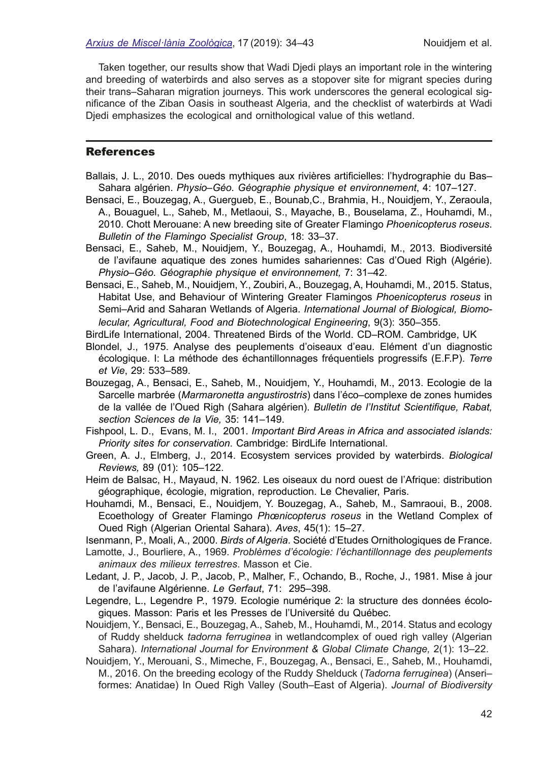Taken together, our results show that Wadi Djedi plays an important role in the wintering and breeding of waterbirds and also serves as a stopover site for migrant species during their trans–Saharan migration journeys. This work underscores the general ecological signifcance of the Ziban Oasis in southeast Algeria, and the checklist of waterbirds at Wadi Djedi emphasizes the ecological and ornithological value of this wetland.

#### **References**

- Ballais, J. L., 2010. Des oueds mythiques aux rivières artifcielles: l'hydrographie du Bas– Sahara algérien. *Physio–Géo. Géographie physique et environnement*, 4: 107–127.
- Bensaci, E., Bouzegag, A., Guergueb, E., Bounab,C., Brahmia, H., Nouidjem, Y., Zeraoula, A., Bouaguel, L., Saheb, M., Metlaoui, S., Mayache, B., Bouselama, Z., Houhamdi, M., 2010. Chott Merouane: A new breeding site of Greater Flamingo *Phoenicopterus roseus*. *Bulletin of the Flamingo Specialist Group*, 18: 33–37.
- Bensaci, E., Saheb, M., Nouidjem, Y., Bouzegag, A., Houhamdi, M., 2013. Biodiversité de l'avifaune aquatique des zones humides sahariennes: Cas d'Oued Righ (Algérie). *Physio–Géo. Géographie physique et environnement,* 7: 31–42.
- Bensaci, E., Saheb, M., Nouidjem, Y., Zoubiri, A., Bouzegag, A, Houhamdi, M., 2015. Status, Habitat Use, and Behaviour of Wintering Greater Flamingos *Phoenicopterus roseus* in Semi–Arid and Saharan Wetlands of Algeria. *International Journal of Biological, Biomolecular, Agricultural, Food and Biotechnological Engineering*, 9(3): 350–355.
- BirdLife International, 2004. Threatened Birds of the World. CD–ROM. Cambridge, UK
- Blondel, J., 1975. Analyse des peuplements d'oiseaux d'eau. Elément d'un diagnostic écologique. I: La méthode des échantillonnages fréquentiels progressifs (E.F.P). *Terre et Vie*, 29: 533–589.
- Bouzegag, A., Bensaci, E., Saheb, M., Nouidjem, Y., Houhamdi, M., 2013. [Ecologie de la](http://northafricanbirds.wordpress.com/2014/05/05/ecologie-sarcelle-marbree-oued-righ-sahara-algerien/) Sarcelle marbrée (*Marmaronetta angustirostris*[\) dans l'éco–complexe de zones humides](http://northafricanbirds.wordpress.com/2014/05/05/ecologie-sarcelle-marbree-oued-righ-sahara-algerien/) [de la vallée de l'Oued Righ \(Sahara](http://northafricanbirds.wordpress.com/2014/05/05/ecologie-sarcelle-marbree-oued-righ-sahara-algerien/) algérien). *[Bulletin de l'Institut Scientifque, Rabat,](http://israbat.ac.ma/spip.php?article379) [section Sciences de la Vie](http://israbat.ac.ma/spip.php?article379),* 35: 141–149.
- Fishpool, L. D., Evans, M. I., 2001. *Important Bird Areas in Africa and associated islands: Priority sites for conservation*. Cambridge: BirdLife International.
- Green, A. J., Elmberg, J., 2014. Ecosystem services provided by waterbirds. *Biological Reviews,* 89 (01): 105–122.
- Heim de Balsac, H., Mayaud, N. 1962. Les oiseaux du nord ouest de l'Afrique: distribution géographique, écologie, migration, reproduction. Le Chevalier, Paris.
- Houhamdi, M., Bensaci, E., Nouidjem, Y. Bouzegag, A., Saheb, M., Samraoui, B., 2008. Ecoethology of Greater Flamingo *Phœnicopterus roseus* in the Wetland Complex of Oued Righ (Algerian Oriental Sahara). *Aves*, 45(1): 15–27.

Isenmann, P., Moali, A., 2000. *Birds of Algeria*. Société d'Etudes Ornithologiques de France.

- Lamotte, J., Bourliere, A., 1969. *Problèmes d'écologie: l'échantillonnage des peuplements animaux des milieux terrestres*. Masson et Cie.
- Ledant, J. P., Jacob, J. P., Jacob, P., Malher, F., Ochando, B., Roche, J., 1981. Mise à jour de l'avifaune Algérienne. *Le Gerfaut*, 71: 295–398.
- Legendre, L., Legendre P., 1979. Ecologie numérique 2: la structure des données écologiques. Masson: Paris et les Presses de l'Université du Québec.

Nouidjem, Y., Bensaci, E., Bouzegag, A., Saheb, M., Houhamdi, M., 2014. Status and ecology of Ruddy shelduck *tadorna ferruginea* in wetlandcomplex of oued righ valley (Algerian Sahara). *International Journal for Environment & Global Climate Change,* 2(1): 13–22.

Nouidjem, Y., Merouani, S., Mimeche, F., Bouzegag, A., Bensaci, E., Saheb, M., Houhamdi, M., 2016. On the breeding ecology of the Ruddy Shelduck (*Tadorna ferruginea*) (Anseri– formes: Anatidae) In Oued Righ Valley (South–East of Algeria). *Journal of Biodiversity*